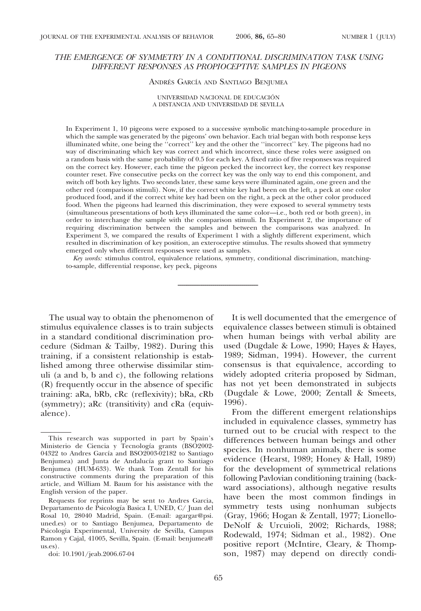# THE EMERGENCE OF SYMMETRY IN A CONDITIONAL DISCRIMINATION TASK USING DIFFERENT RESPONSES AS PROPIOCEPTIVE SAMPLES IN PIGEONS

#### ANDRÉS GARCÍA AND SANTIAGO BENJUMEA

#### UNIVERSIDAD NACIONAL DE EDUCACIÓN A DISTANCIA AND UNIVERSIDAD DE SEVILLA

In Experiment 1, 10 pigeons were exposed to a successive symbolic matching-to-sample procedure in which the sample was generated by the pigeons' own behavior. Each trial began with both response keys illuminated white, one being the ''correct'' key and the other the ''incorrect'' key. The pigeons had no way of discriminating which key was correct and which incorrect, since these roles were assigned on a random basis with the same probability of 0.5 for each key. A fixed ratio of five responses was required on the correct key. However, each time the pigeon pecked the incorrect key, the correct key response counter reset. Five consecutive pecks on the correct key was the only way to end this component, and switch off both key lights. Two seconds later, these same keys were illuminated again, one green and the other red (comparison stimuli). Now, if the correct white key had been on the left, a peck at one color produced food, and if the correct white key had been on the right, a peck at the other color produced food. When the pigeons had learned this discrimination, they were exposed to several symmetry tests (simultaneous presentations of both keys illuminated the same color—i.e., both red or both green), in order to interchange the sample with the comparison stimuli. In Experiment 2, the importance of requiring discrimination between the samples and between the comparisons was analyzed. In Experiment 3, we compared the results of Experiment 1 with a slightly different experiment, which resulted in discrimination of key position, an exteroceptive stimulus. The results showed that symmetry emerged only when different responses were used as samples.

Key words: stimulus control, equivalence relations, symmetry, conditional discrimination, matchingto-sample, differential response, key peck, pigeons

The usual way to obtain the phenomenon of stimulus equivalence classes is to train subjects in a standard conditional discrimination procedure (Sidman & Tailby, 1982). During this training, if a consistent relationship is established among three otherwise dissimilar stimuli (a and b, b and c), the following relations (R) frequently occur in the absence of specific training: aRa, bRb, cRc (reflexivity); bRa, cRb (symmetry); aRc (transitivity) and cRa (equivalence).

It is well documented that the emergence of equivalence classes between stimuli is obtained when human beings with verbal ability are used (Dugdale & Lowe, 1990; Hayes & Hayes, 1989; Sidman, 1994). However, the current consensus is that equivalence, according to widely adopted criteria proposed by Sidman, has not yet been demonstrated in subjects (Dugdale & Lowe, 2000; Zentall & Smeets, 1996).

From the different emergent relationships included in equivalence classes, symmetry has turned out to be crucial with respect to the differences between human beings and other species. In nonhuman animals, there is some evidence (Hearst, 1989; Honey & Hall, 1989) for the development of symmetrical relations following Pavlovian conditioning training (backward associations), although negative results have been the most common findings in symmetry tests using nonhuman subjects (Gray, 1966; Hogan & Zentall, 1977; Lionello-DeNolf & Urcuioli, 2002; Richards, 1988; Rodewald, 1974; Sidman et al., 1982). One positive report (McIntire, Cleary, & Thompson, 1987) may depend on directly condi-

This research was supported in part by Spain's Ministerio de Ciencia y Tecnología grants (BSO2002-04322 to Andres García and BSO2003-02182 to Santiago Benjumea) and Junta de Andalucía grant to Santiago Benjumea (HUM-633). We thank Tom Zentall for his constructive comments during the preparation of this article, and William M. Baum for his assistance with the English version of the paper.

Requests for reprints may be sent to Andres Garcia, Departamento de Psicología Basica I, UNED, C/ Juan del Rosal 10, 28040 Madrid, Spain. (E-mail: agargar@psi. uned.es) or to Santiago Benjumea, Departamento de Psicologia Experimental, University de Sevilla, Campus Ramon y Cajal, 41005, Sevilla, Spain. (E-mail: benjumea@ us.es).

doi: 10.1901/jeab.2006.67-04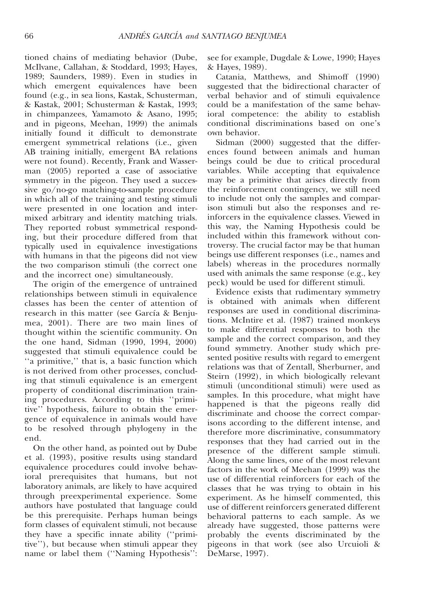tioned chains of mediating behavior (Dube, McIlvane, Callahan, & Stoddard, 1993; Hayes, 1989; Saunders, 1989). Even in studies in which emergent equivalences have been found (e.g., in sea lions, Kastak, Schusterman, & Kastak, 2001; Schusterman & Kastak, 1993; in chimpanzees, Yamamoto & Asano, 1995; and in pigeons, Meehan, 1999) the animals initially found it difficult to demonstrate emergent symmetrical relations (i.e., given AB training initially, emergent BA relations were not found). Recently, Frank and Wasserman (2005) reported a case of associative symmetry in the pigeon. They used a successive go/no-go matching-to-sample procedure in which all of the training and testing stimuli were presented in one location and intermixed arbitrary and identity matching trials. They reported robust symmetrical responding, but their procedure differed from that typically used in equivalence investigations with humans in that the pigeons did not view the two comparison stimuli (the correct one and the incorrect one) simultaneously.

The origin of the emergence of untrained relationships between stimuli in equivalence classes has been the center of attention of research in this matter (see García & Benjumea, 2001). There are two main lines of thought within the scientific community. On the one hand, Sidman (1990, 1994, 2000) suggested that stimuli equivalence could be ''a primitive,'' that is, a basic function which is not derived from other processes, concluding that stimuli equivalence is an emergent property of conditional discrimination training procedures. According to this ''primitive'' hypothesis, failure to obtain the emergence of equivalence in animals would have to be resolved through phylogeny in the end.

On the other hand, as pointed out by Dube et al. (1993), positive results using standard equivalence procedures could involve behavioral prerequisites that humans, but not laboratory animals, are likely to have acquired through preexperimental experience. Some authors have postulated that language could be this prerequisite. Perhaps human beings form classes of equivalent stimuli, not because they have a specific innate ability (''primitive''), but because when stimuli appear they name or label them (''Naming Hypothesis'':

see for example, Dugdale & Lowe, 1990; Hayes & Hayes, 1989).

Catania, Matthews, and Shimoff (1990) suggested that the bidirectional character of verbal behavior and of stimuli equivalence could be a manifestation of the same behavioral competence: the ability to establish conditional discriminations based on one's own behavior.

Sidman (2000) suggested that the differences found between animals and human beings could be due to critical procedural variables. While accepting that equivalence may be a primitive that arises directly from the reinforcement contingency, we still need to include not only the samples and comparison stimuli but also the responses and reinforcers in the equivalence classes. Viewed in this way, the Naming Hypothesis could be included within this framework without controversy. The crucial factor may be that human beings use different responses (i.e., names and labels) whereas in the procedures normally used with animals the same response (e.g., key peck) would be used for different stimuli.

Evidence exists that rudimentary symmetry is obtained with animals when different responses are used in conditional discriminations. McIntire et al. (1987) trained monkeys to make differential responses to both the sample and the correct comparison, and they found symmetry. Another study which presented positive results with regard to emergent relations was that of Zentall, Sherburner, and Steirn (1992), in which biologically relevant stimuli (unconditional stimuli) were used as samples. In this procedure, what might have happened is that the pigeons really did discriminate and choose the correct comparisons according to the different intense, and therefore more discriminative, consummatory responses that they had carried out in the presence of the different sample stimuli. Along the same lines, one of the most relevant factors in the work of Meehan (1999) was the use of differential reinforcers for each of the classes that he was trying to obtain in his experiment. As he himself commented, this use of different reinforcers generated different behavioral patterns to each sample. As we already have suggested, those patterns were probably the events discriminated by the pigeons in that work (see also Urcuioli & DeMarse, 1997).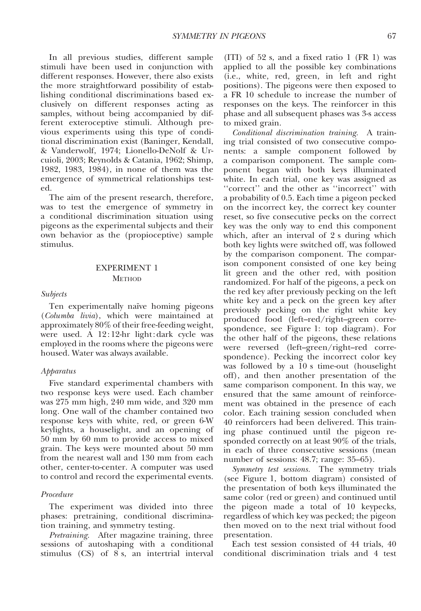In all previous studies, different sample stimuli have been used in conjunction with different responses. However, there also exists the more straightforward possibility of establishing conditional discriminations based exclusively on different responses acting as samples, without being accompanied by different exteroceptive stimuli. Although previous experiments using this type of conditional discrimination exist (Baninger, Kendall, & Vanderwolf, 1974; Lionello-DeNolf & Urcuioli, 2003; Reynolds & Catania, 1962; Shimp, 1982, 1983, 1984), in none of them was the emergence of symmetrical relationships tested.

The aim of the present research, therefore, was to test the emergence of symmetry in a conditional discrimination situation using pigeons as the experimental subjects and their own behavior as the (propioceptive) sample stimulus.

# EXPERIMENT 1 **METHOD**

#### Subjects

Ten experimentally naïve homing pigeons (Columba livia), which were maintained at approximately 80% of their free-feeding weight, were used. A 12:12-hr light: dark cycle was employed in the rooms where the pigeons were housed. Water was always available.

### Apparatus

Five standard experimental chambers with two response keys were used. Each chamber was 275 mm high, 240 mm wide, and 320 mm long. One wall of the chamber contained two response keys with white, red, or green 6-W keylights, a houselight, and an opening of 50 mm by 60 mm to provide access to mixed grain. The keys were mounted about 50 mm from the nearest wall and 130 mm from each other, center-to-center. A computer was used to control and record the experimental events.

# Procedure

The experiment was divided into three phases: pretraining, conditional discrimination training, and symmetry testing.

Pretraining. After magazine training, three sessions of autoshaping with a conditional stimulus (CS) of 8 s, an intertrial interval

(ITI) of 52 s, and a fixed ratio 1 (FR 1) was applied to all the possible key combinations (i.e., white, red, green, in left and right positions). The pigeons were then exposed to a FR 10 schedule to increase the number of responses on the keys. The reinforcer in this phase and all subsequent phases was 3-s access to mixed grain.

Conditional discrimination training. A training trial consisted of two consecutive components: a sample component followed by a comparison component. The sample component began with both keys illuminated white. In each trial, one key was assigned as ''correct'' and the other as ''incorrect'' with a probability of 0.5. Each time a pigeon pecked on the incorrect key, the correct key counter reset, so five consecutive pecks on the correct key was the only way to end this component which, after an interval of 2 s during which both key lights were switched off, was followed by the comparison component. The comparison component consisted of one key being lit green and the other red, with position randomized. For half of the pigeons, a peck on the red key after previously pecking on the left white key and a peck on the green key after previously pecking on the right white key produced food (left–red/right–green correspondence, see Figure 1: top diagram). For the other half of the pigeons, these relations were reversed (left–green/right–red correspondence). Pecking the incorrect color key was followed by a 10 s time-out (houselight off), and then another presentation of the same comparison component. In this way, we ensured that the same amount of reinforcement was obtained in the presence of each color. Each training session concluded when 40 reinforcers had been delivered. This training phase continued until the pigeon responded correctly on at least 90% of the trials, in each of three consecutive sessions (mean number of sessions: 48.7; range: 35–65).

Symmetry test sessions. The symmetry trials (see Figure 1, bottom diagram) consisted of the presentation of both keys illuminated the same color (red or green) and continued until the pigeon made a total of 10 keypecks, regardless of which key was pecked; the pigeon then moved on to the next trial without food presentation.

Each test session consisted of 44 trials, 40 conditional discrimination trials and 4 test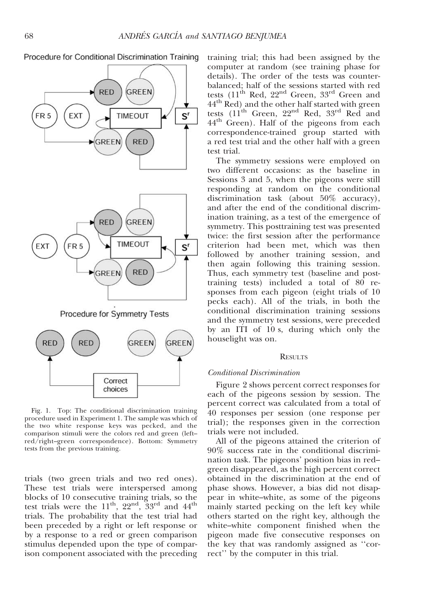Procedure for Conditional Discrimination Training



# Procedure for Symmetry Tests



Fig. 1. Top: The conditional discrimination training procedure used in Experiment 1. The sample was which of the two white response keys was pecked, and the comparison stimuli were the colors red and green (left– red/right–green correspondence). Bottom: Symmetry tests from the previous training.

trials (two green trials and two red ones). These test trials were interspersed among blocks of 10 consecutive training trials, so the test trials were the  $11<sup>th</sup>$ ,  $22<sup>nd</sup>$ ,  $33<sup>rd</sup>$  and  $44<sup>th</sup>$ trials. The probability that the test trial had been preceded by a right or left response or by a response to a red or green comparison stimulus depended upon the type of comparison component associated with the preceding training trial; this had been assigned by the computer at random (see training phase for details). The order of the tests was counterbalanced; half of the sessions started with red tests  $(11<sup>th</sup>$  Red,  $22<sup>nd</sup>$  Green,  $33<sup>rd</sup>$  Green and 44<sup>th</sup> Red) and the other half started with green tests  $(11^{\text{th}}$  Green,  $22^{\text{nd}}$  Red,  $33^{\text{rd}}$  Red and 44<sup>th</sup> Green). Half of the pigeons from each correspondence-trained group started with a red test trial and the other half with a green test trial.

The symmetry sessions were employed on two different occasions: as the baseline in Sessions 3 and 5, when the pigeons were still responding at random on the conditional discrimination task (about 50% accuracy), and after the end of the conditional discrimination training, as a test of the emergence of symmetry. This posttraining test was presented twice: the first session after the performance criterion had been met, which was then followed by another training session, and then again following this training session. Thus, each symmetry test (baseline and posttraining tests) included a total of 80 responses from each pigeon (eight trials of 10 pecks each). All of the trials, in both the conditional discrimination training sessions and the symmetry test sessions, were preceded by an ITI of 10 s, during which only the houselight was on.

## **RESULTS**

### Conditional Discrimination

Figure 2 shows percent correct responses for each of the pigeons session by session. The percent correct was calculated from a total of 40 responses per session (one response per trial); the responses given in the correction trials were not included.

All of the pigeons attained the criterion of 90% success rate in the conditional discrimination task. The pigeons' position bias in red– green disappeared, as the high percent correct obtained in the discrimination at the end of phase shows. However, a bias did not disappear in white–white, as some of the pigeons mainly started pecking on the left key while others started on the right key, although the white–white component finished when the pigeon made five consecutive responses on the key that was randomly assigned as ''correct'' by the computer in this trial.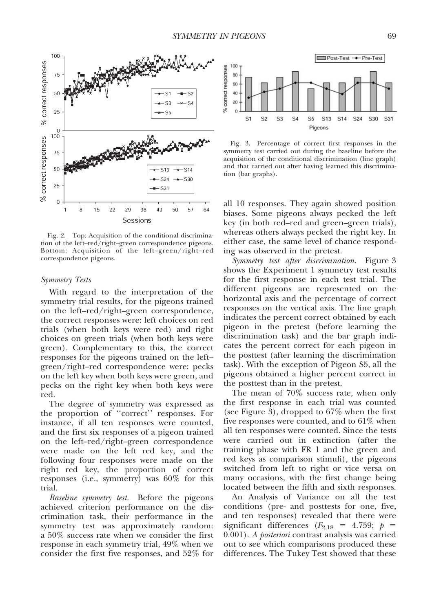

Fig. 2. Top: Acquisition of the conditional discrimination of the left–red/right–green correspondence pigeons. Bottom: Acquisition of the left–green/right–red correspondence pigeons.

#### Symmetry Tests

With regard to the interpretation of the symmetry trial results, for the pigeons trained on the left–red/right–green correspondence, the correct responses were: left choices on red trials (when both keys were red) and right choices on green trials (when both keys were green). Complementary to this, the correct responses for the pigeons trained on the left– green/right–red correspondence were: pecks on the left key when both keys were green, and pecks on the right key when both keys were red.

The degree of symmetry was expressed as the proportion of ''correct'' responses. For instance, if all ten responses were counted, and the first six responses of a pigeon trained on the left–red/right–green correspondence were made on the left red key, and the following four responses were made on the right red key, the proportion of correct responses (i.e., symmetry) was 60% for this trial.

Baseline symmetry test. Before the pigeons achieved criterion performance on the discrimination task, their performance in the symmetry test was approximately random: a 50% success rate when we consider the first response in each symmetry trial, 49% when we consider the first five responses, and 52% for



Fig. 3. Percentage of correct first responses in the symmetry test carried out during the baseline before the acquisition of the conditional discrimination (line graph) and that carried out after having learned this discrimination (bar graphs).

all 10 responses. They again showed position biases. Some pigeons always pecked the left key (in both red–red and green–green trials), whereas others always pecked the right key. In either case, the same level of chance responding was observed in the pretest.

Symmetry test after discrimination. Figure 3 shows the Experiment 1 symmetry test results for the first response in each test trial. The different pigeons are represented on the horizontal axis and the percentage of correct responses on the vertical axis. The line graph indicates the percent correct obtained by each pigeon in the pretest (before learning the discrimination task) and the bar graph indicates the percent correct for each pigeon in the posttest (after learning the discrimination task). With the exception of Pigeon S5, all the pigeons obtained a higher percent correct in the posttest than in the pretest.

The mean of 70% success rate, when only the first response in each trial was counted (see Figure 3), dropped to 67% when the first five responses were counted, and to 61% when all ten responses were counted. Since the tests were carried out in extinction (after the training phase with FR 1 and the green and red keys as comparison stimuli), the pigeons switched from left to right or vice versa on many occasions, with the first change being located between the fifth and sixth responses.

An Analysis of Variance on all the test conditions (pre- and posttests for one, five, and ten responses) revealed that there were significant differences  $(F_{2,18} = 4.759; p =$ 0.001). A posteriori contrast analysis was carried out to see which comparisons produced these differences. The Tukey Test showed that these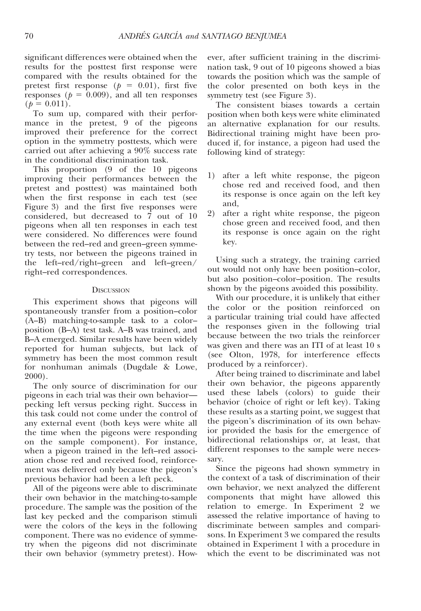significant differences were obtained when the results for the posttest first response were compared with the results obtained for the pretest first response ( $p = 0.01$ ), first five responses ( $p = 0.009$ ), and all ten responses  $(p = 0.011).$ 

To sum up, compared with their performance in the pretest, 9 of the pigeons improved their preference for the correct option in the symmetry posttests, which were carried out after achieving a 90% success rate in the conditional discrimination task.

This proportion (9 of the 10 pigeons improving their performances between the pretest and posttest) was maintained both when the first response in each test (see Figure 3) and the first five responses were considered, but decreased to 7 out of 10 pigeons when all ten responses in each test were considered. No differences were found between the red–red and green–green symmetry tests, nor between the pigeons trained in the left–red/right–green and left–green/ right–red correspondences.

## **DISCUSSION**

This experiment shows that pigeons will spontaneously transfer from a position–color (A–B) matching-to-sample task to a color– position (B–A) test task. A–B was trained, and B–A emerged. Similar results have been widely reported for human subjects, but lack of symmetry has been the most common result for nonhuman animals (Dugdale & Lowe, 2000).

The only source of discrimination for our pigeons in each trial was their own behavior pecking left versus pecking right. Success in this task could not come under the control of any external event (both keys were white all the time when the pigeons were responding on the sample component). For instance, when a pigeon trained in the left–red association chose red and received food, reinforcement was delivered only because the pigeon's previous behavior had been a left peck.

All of the pigeons were able to discriminate their own behavior in the matching-to-sample procedure. The sample was the position of the last key pecked and the comparison stimuli were the colors of the keys in the following component. There was no evidence of symmetry when the pigeons did not discriminate their own behavior (symmetry pretest). However, after sufficient training in the discrimination task, 9 out of 10 pigeons showed a bias towards the position which was the sample of the color presented on both keys in the symmetry test (see Figure 3).

The consistent biases towards a certain position when both keys were white eliminated an alternative explanation for our results. Bidirectional training might have been produced if, for instance, a pigeon had used the following kind of strategy:

- 1) after a left white response, the pigeon chose red and received food, and then its response is once again on the left key and,
- 2) after a right white response, the pigeon chose green and received food, and then its response is once again on the right key.

Using such a strategy, the training carried out would not only have been position–color, but also position–color–position. The results shown by the pigeons avoided this possibility.

With our procedure, it is unlikely that either the color or the position reinforced on a particular training trial could have affected the responses given in the following trial because between the two trials the reinforcer was given and there was an ITI of at least 10 s (see Olton, 1978, for interference effects produced by a reinforcer).

After being trained to discriminate and label their own behavior, the pigeons apparently used these labels (colors) to guide their behavior (choice of right or left key). Taking these results as a starting point, we suggest that the pigeon's discrimination of its own behavior provided the basis for the emergence of bidirectional relationships or, at least, that different responses to the sample were necessary.

Since the pigeons had shown symmetry in the context of a task of discrimination of their own behavior, we next analyzed the different components that might have allowed this relation to emerge. In Experiment 2 we assessed the relative importance of having to discriminate between samples and comparisons. In Experiment 3 we compared the results obtained in Experiment 1 with a procedure in which the event to be discriminated was not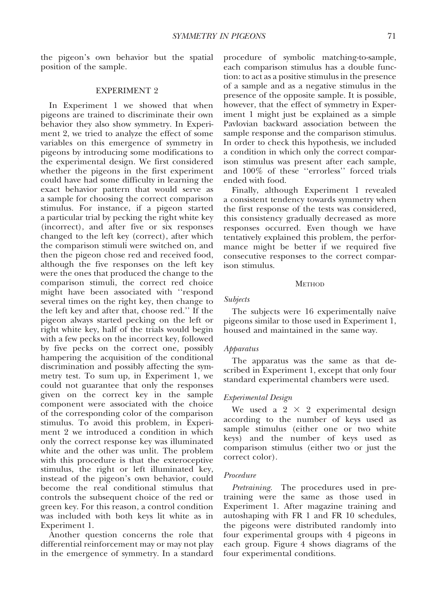the pigeon's own behavior but the spatial position of the sample.

# EXPERIMENT 2

In Experiment 1 we showed that when pigeons are trained to discriminate their own behavior they also show symmetry. In Experiment 2, we tried to analyze the effect of some variables on this emergence of symmetry in pigeons by introducing some modifications to the experimental design. We first considered whether the pigeons in the first experiment could have had some difficulty in learning the exact behavior pattern that would serve as a sample for choosing the correct comparison stimulus. For instance, if a pigeon started a particular trial by pecking the right white key (incorrect), and after five or six responses changed to the left key (correct), after which the comparison stimuli were switched on, and then the pigeon chose red and received food, although the five responses on the left key were the ones that produced the change to the comparison stimuli, the correct red choice might have been associated with ''respond several times on the right key, then change to the left key and after that, choose red.'' If the pigeon always started pecking on the left or right white key, half of the trials would begin with a few pecks on the incorrect key, followed by five pecks on the correct one, possibly hampering the acquisition of the conditional discrimination and possibly affecting the symmetry test. To sum up, in Experiment 1, we could not guarantee that only the responses given on the correct key in the sample component were associated with the choice of the corresponding color of the comparison stimulus. To avoid this problem, in Experiment 2 we introduced a condition in which only the correct response key was illuminated white and the other was unlit. The problem with this procedure is that the exteroceptive stimulus, the right or left illuminated key, instead of the pigeon's own behavior, could become the real conditional stimulus that controls the subsequent choice of the red or green key. For this reason, a control condition was included with both keys lit white as in Experiment 1.

Another question concerns the role that differential reinforcement may or may not play in the emergence of symmetry. In a standard

procedure of symbolic matching-to-sample, each comparison stimulus has a double function: to act as a positive stimulus in the presence of a sample and as a negative stimulus in the presence of the opposite sample. It is possible, however, that the effect of symmetry in Experiment 1 might just be explained as a simple Pavlovian backward association between the sample response and the comparison stimulus. In order to check this hypothesis, we included a condition in which only the correct comparison stimulus was present after each sample, and 100% of these ''errorless'' forced trials ended with food.

Finally, although Experiment 1 revealed a consistent tendency towards symmetry when the first response of the tests was considered, this consistency gradually decreased as more responses occurred. Even though we have tentatively explained this problem, the performance might be better if we required five consecutive responses to the correct comparison stimulus.

# **METHOD**

# Subjects

The subjects were 16 experimentally naive pigeons similar to those used in Experiment 1, housed and maintained in the same way.

### Apparatus

The apparatus was the same as that described in Experiment 1, except that only four standard experimental chambers were used.

# Experimental Design

We used a  $2 \times 2$  experimental design according to the number of keys used as sample stimulus (either one or two white keys) and the number of keys used as comparison stimulus (either two or just the correct color).

# Procedure

Pretraining. The procedures used in pretraining were the same as those used in Experiment 1. After magazine training and autoshaping with FR 1 and FR 10 schedules, the pigeons were distributed randomly into four experimental groups with 4 pigeons in each group. Figure 4 shows diagrams of the four experimental conditions.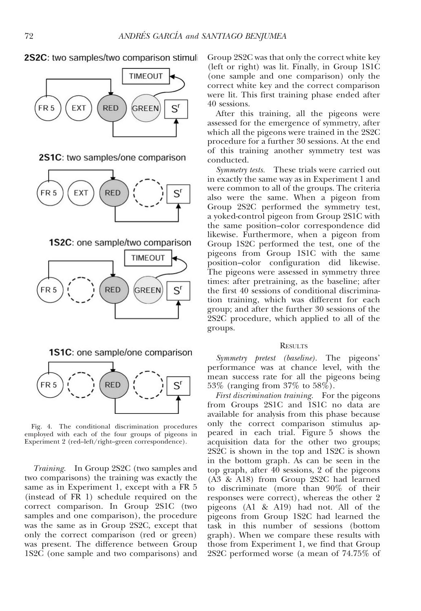

# 2S2C: two samples/two comparison stimuli





**1S2C:** one sample/two comparison







Fig. 4. The conditional discrimination procedures employed with each of the four groups of pigeons in Experiment 2 (red–left/right–green correspondence).

Training. In Group 2S2C (two samples and two comparisons) the training was exactly the same as in Experiment 1, except with a FR 5 (instead of FR 1) schedule required on the correct comparison. In Group 2S1C (two samples and one comparison), the procedure was the same as in Group 2S2C, except that only the correct comparison (red or green) was present. The difference between Group 1S2C (one sample and two comparisons) and Group 2S2C was that only the correct white key (left or right) was lit. Finally, in Group 1S1C (one sample and one comparison) only the correct white key and the correct comparison were lit. This first training phase ended after 40 sessions.

After this training, all the pigeons were assessed for the emergence of symmetry, after which all the pigeons were trained in the 2S2C procedure for a further 30 sessions. At the end of this training another symmetry test was conducted.

Symmetry tests. These trials were carried out in exactly the same way as in Experiment 1 and were common to all of the groups. The criteria also were the same. When a pigeon from Group 2S2C performed the symmetry test, a yoked-control pigeon from Group 2S1C with the same position–color correspondence did likewise. Furthermore, when a pigeon from Group 1S2C performed the test, one of the pigeons from Group 1S1C with the same position–color configuration did likewise. The pigeons were assessed in symmetry three times: after pretraining, as the baseline; after the first 40 sessions of conditional discrimination training, which was different for each group; and after the further 30 sessions of the 2S2C procedure, which applied to all of the groups.

#### **RESULTS**

Symmetry pretest (baseline). The pigeons' performance was at chance level, with the mean success rate for all the pigeons being 53% (ranging from 37% to 58%).

First discrimination training. For the pigeons from Groups 2S1C and 1S1C no data are available for analysis from this phase because only the correct comparison stimulus appeared in each trial. Figure 5 shows the acquisition data for the other two groups; 2S2C is shown in the top and 1S2C is shown in the bottom graph. As can be seen in the top graph, after 40 sessions, 2 of the pigeons (A3 & A18) from Group 2S2C had learned to discriminate (more than 90% of their responses were correct), whereas the other 2 pigeons (A1 & A19) had not. All of the pigeons from Group 1S2C had learned the task in this number of sessions (bottom graph). When we compare these results with those from Experiment 1, we find that Group 2S2C performed worse (a mean of 74.75% of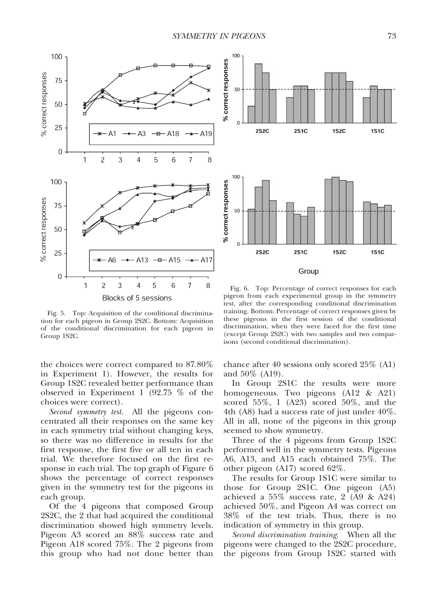

Fig. 5. Top: Acquisition of the conditional discrimination for each pigeon in Group 2S2C. Bottom: Acquisition of the conditional discrimination for each pigeon in Group 1S2C.

the choices were correct compared to 87.80% in Experiment 1). However, the results for Group 1S2C revealed better performance than observed in Experiment 1 (92.75 % of the choices were correct).

Second symmetry test. All the pigeons concentrated all their responses on the same key in each symmetry trial without changing keys, so there was no difference in results for the first response, the first five or all ten in each trial. We therefore focused on the first response in each trial. The top graph of Figure 6 shows the percentage of correct responses given in the symmetry test for the pigeons in each group.

Of the 4 pigeons that composed Group 2S2C, the 2 that had acquired the conditional discrimination showed high symmetry levels. Pigeon A3 scored an 88% success rate and Pigeon A18 scored 75%. The 2 pigeons from this group who had not done better than



Fig. 6. Top: Percentage of correct responses for each pigeon from each experimental group in the symmetry test, after the corresponding conditional discrimination training. Bottom: Percentage of correct responses given by these pigeons in the first session of the conditional discrimination, when they were faced for the first time (except Group 2S2C) with two samples and two comparisons (second conditional discrimination).

chance after 40 sessions only scored 25% (A1) and 50% (A19).

In Group 2S1C the results were more homogeneous. Two pigeons (A12 & A21) scored  $55\%$ , 1 (A23) scored  $50\%$ , and the 4th (A8) had a success rate of just under 40%. All in all, none of the pigeons in this group seemed to show symmetry.

Three of the 4 pigeons from Group 1S2C performed well in the symmetry tests. Pigeons A6, A13, and A15 each obtained 75%. The other pigeon (A17) scored 62%.

The results for Group 1S1C were similar to those for Group 2S1C. One pigeon (A5) achieved a 55% success rate, 2 (A9 & A24) achieved 50%, and Pigeon A4 was correct on 38% of the test trials. Thus, there is no indication of symmetry in this group.

Second discrimination training. When all the pigeons were changed to the 2S2C procedure, the pigeons from Group 1S2C started with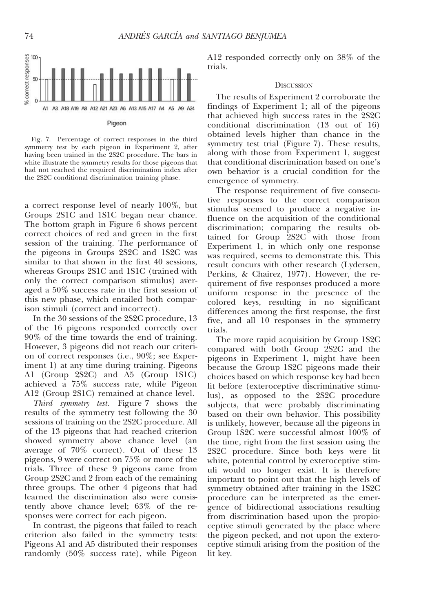

#### Pigeon

Fig. 7. Percentage of correct responses in the third symmetry test by each pigeon in Experiment 2, after having been trained in the 2S2C procedure. The bars in white illustrate the symmetry results for those pigeons that had not reached the required discrimination index after the 2S2C conditional discrimination training phase.

a correct response level of nearly 100%, but Groups 2S1C and 1S1C began near chance. The bottom graph in Figure 6 shows percent correct choices of red and green in the first session of the training. The performance of the pigeons in Groups 2S2C and 1S2C was similar to that shown in the first 40 sessions, whereas Groups 2S1C and 1S1C (trained with only the correct comparison stimulus) averaged a 50% success rate in the first session of this new phase, which entailed both comparison stimuli (correct and incorrect).

In the 30 sessions of the 2S2C procedure, 13 of the 16 pigeons responded correctly over 90% of the time towards the end of training. However, 3 pigeons did not reach our criterion of correct responses (i.e., 90%; see Experiment 1) at any time during training. Pigeons A1 (Group 2S2C) and A5 (Group 1S1C) achieved a 75% success rate, while Pigeon A12 (Group 2S1C) remained at chance level.

Third symmetry test. Figure 7 shows the results of the symmetry test following the 30 sessions of training on the 2S2C procedure. All of the 13 pigeons that had reached criterion showed symmetry above chance level (an average of 70% correct). Out of these 13 pigeons, 9 were correct on 75% or more of the trials. Three of these 9 pigeons came from Group 2S2C and 2 from each of the remaining three groups. The other 4 pigeons that had learned the discrimination also were consistently above chance level; 63% of the responses were correct for each pigeon.

In contrast, the pigeons that failed to reach criterion also failed in the symmetry tests: Pigeons A1 and A5 distributed their responses randomly (50% success rate), while Pigeon

A12 responded correctly only on 38% of the trials.

#### **DISCUSSION**

The results of Experiment 2 corroborate the findings of Experiment 1; all of the pigeons that achieved high success rates in the 2S2C conditional discrimination (13 out of 16) obtained levels higher than chance in the symmetry test trial (Figure 7). These results, along with those from Experiment 1, suggest that conditional discrimination based on one's own behavior is a crucial condition for the emergence of symmetry.

The response requirement of five consecutive responses to the correct comparison stimulus seemed to produce a negative influence on the acquisition of the conditional discrimination; comparing the results obtained for Group 2S2C with those from Experiment 1, in which only one response was required, seems to demonstrate this. This result concurs with other research (Lydersen, Perkins, & Chairez, 1977). However, the requirement of five responses produced a more uniform response in the presence of the colored keys, resulting in no significant differences among the first response, the first five, and all 10 responses in the symmetry trials.

The more rapid acquisition by Group 1S2C compared with both Group 2S2C and the pigeons in Experiment 1, might have been because the Group 1S2C pigeons made their choices based on which response key had been lit before (exteroceptive discriminative stimulus), as opposed to the 2S2C procedure subjects, that were probably discriminating based on their own behavior. This possibility is unlikely, however, because all the pigeons in Group 1S2C were successful almost 100% of the time, right from the first session using the 2S2C procedure. Since both keys were lit white, potential control by exteroceptive stimuli would no longer exist. It is therefore important to point out that the high levels of symmetry obtained after training in the 1S2C procedure can be interpreted as the emergence of bidirectional associations resulting from discrimination based upon the propioceptive stimuli generated by the place where the pigeon pecked, and not upon the exteroceptive stimuli arising from the position of the lit key.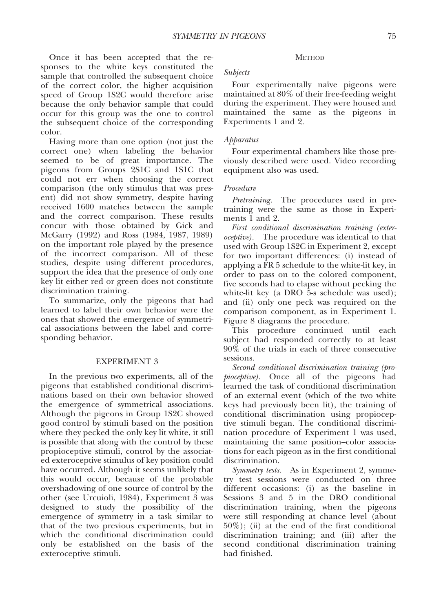Once it has been accepted that the responses to the white keys constituted the sample that controlled the subsequent choice of the correct color, the higher acquisition speed of Group 1S2C would therefore arise because the only behavior sample that could occur for this group was the one to control the subsequent choice of the corresponding color.

Having more than one option (not just the correct one) when labeling the behavior seemed to be of great importance. The pigeons from Groups 2S1C and 1S1C that could not err when choosing the correct comparison (the only stimulus that was present) did not show symmetry, despite having received 1600 matches between the sample and the correct comparison. These results concur with those obtained by Gick and McGarry (1992) and Ross (1984, 1987, 1989) on the important role played by the presence of the incorrect comparison. All of these studies, despite using different procedures, support the idea that the presence of only one key lit either red or green does not constitute discrimination training.

To summarize, only the pigeons that had learned to label their own behavior were the ones that showed the emergence of symmetrical associations between the label and corresponding behavior.

#### EXPERIMENT 3

In the previous two experiments, all of the pigeons that established conditional discriminations based on their own behavior showed the emergence of symmetrical associations. Although the pigeons in Group 1S2C showed good control by stimuli based on the position where they pecked the only key lit white, it still is possible that along with the control by these propioceptive stimuli, control by the associated exteroceptive stimulus of key position could have occurred. Although it seems unlikely that this would occur, because of the probable overshadowing of one source of control by the other (see Urcuioli, 1984), Experiment 3 was designed to study the possibility of the emergence of symmetry in a task similar to that of the two previous experiments, but in which the conditional discrimination could only be established on the basis of the exteroceptive stimuli.

## **METHOD**

#### Subjects

Four experimentally naïve pigeons were maintained at 80% of their free-feeding weight during the experiment. They were housed and maintained the same as the pigeons in Experiments 1 and 2.

## Apparatus

Four experimental chambers like those previously described were used. Video recording equipment also was used.

## Procedure

Pretraining. The procedures used in pretraining were the same as those in Experiments 1 and 2.

First conditional discrimination training (exteroceptive). The procedure was identical to that used with Group 1S2C in Experiment 2, except for two important differences: (i) instead of applying a FR 5 schedule to the white-lit key, in order to pass on to the colored component, five seconds had to elapse without pecking the white-lit key (a DRO 5-s schedule was used); and (ii) only one peck was required on the comparison component, as in Experiment 1. Figure 8 diagrams the procedure.

This procedure continued until each subject had responded correctly to at least 90% of the trials in each of three consecutive sessions.

Second conditional discrimination training (propioceptive). Once all of the pigeons had learned the task of conditional discrimination of an external event (which of the two white keys had previously been lit), the training of conditional discrimination using propioceptive stimuli began. The conditional discrimination procedure of Experiment 1 was used, maintaining the same position–color associations for each pigeon as in the first conditional discrimination.

Symmetry tests. As in Experiment 2, symmetry test sessions were conducted on three different occasions: (i) as the baseline in Sessions 3 and 5 in the DRO conditional discrimination training, when the pigeons were still responding at chance level (about  $50\%)$ ; (ii) at the end of the first conditional discrimination training; and (iii) after the second conditional discrimination training had finished.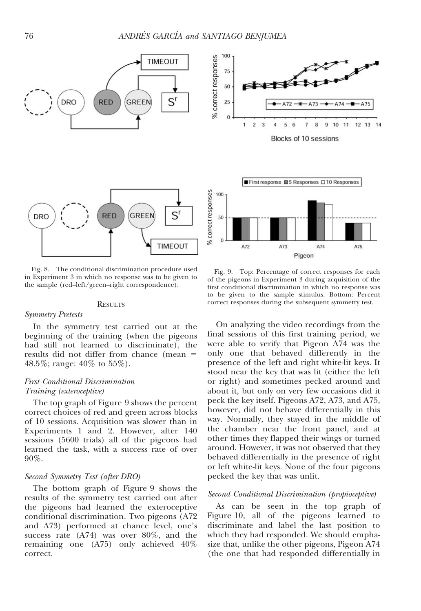



Fig. 8. The conditional discrimination procedure used in Experiment 3 in which no response was to be given to the sample (red–left/green–right correspondence).

## **RESULTS**

#### Symmetry Pretests

In the symmetry test carried out at the beginning of the training (when the pigeons had still not learned to discriminate), the results did not differ from chance (mean  $=$ 48.5%; range: 40% to 55%).

# First Conditional Discrimination Training (exteroceptive)

The top graph of Figure 9 shows the percent correct choices of red and green across blocks of 10 sessions. Acquisition was slower than in Experiments 1 and 2. However, after 140 sessions (5600 trials) all of the pigeons had learned the task, with a success rate of over 90%.

### Second Symmetry Test (after DRO)

The bottom graph of Figure 9 shows the results of the symmetry test carried out after the pigeons had learned the exteroceptive conditional discrimination. Two pigeons (A72 and A73) performed at chance level, one's success rate (A74) was over 80%, and the remaining one (A75) only achieved 40% correct.



Blocks of 10 sessions



Fig. 9. Top: Percentage of correct responses for each of the pigeons in Experiment 3 during acquisition of the first conditional discrimination in which no response was to be given to the sample stimulus. Bottom: Percent correct responses during the subsequent symmetry test.

On analyzing the video recordings from the final sessions of this first training period, we were able to verify that Pigeon A74 was the only one that behaved differently in the presence of the left and right white-lit keys. It stood near the key that was lit (either the left or right) and sometimes pecked around and about it, but only on very few occasions did it peck the key itself. Pigeons A72, A73, and A75, however, did not behave differentially in this way. Normally, they stayed in the middle of the chamber near the front panel, and at other times they flapped their wings or turned around. However, it was not observed that they behaved differentially in the presence of right or left white-lit keys. None of the four pigeons pecked the key that was unlit.

#### Second Conditional Discrimination (propioceptive)

As can be seen in the top graph of Figure 10, all of the pigeons learned to discriminate and label the last position to which they had responded. We should emphasize that, unlike the other pigeons, Pigeon A74 (the one that had responded differentially in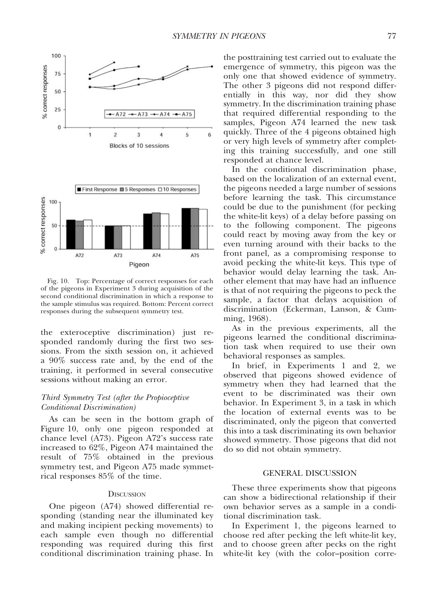



A74

A75

A73

A72

the exteroceptive discrimination) just responded randomly during the first two sessions. From the sixth session on, it achieved a 90% success rate and, by the end of the training, it performed in several consecutive sessions without making an error.

# Third Symmetry Test (after the Propioceptive Conditional Discrimination)

As can be seen in the bottom graph of Figure 10, only one pigeon responded at chance level (A73). Pigeon A72's success rate increased to 62%, Pigeon A74 maintained the result of 75% obtained in the previous symmetry test, and Pigeon A75 made symmetrical responses 85% of the time.

# **DISCUSSION**

One pigeon (A74) showed differential responding (standing near the illuminated key and making incipient pecking movements) to each sample even though no differential responding was required during this first conditional discrimination training phase. In

the posttraining test carried out to evaluate the emergence of symmetry, this pigeon was the only one that showed evidence of symmetry. The other 3 pigeons did not respond differentially in this way, nor did they show symmetry. In the discrimination training phase that required differential responding to the samples, Pigeon A74 learned the new task quickly. Three of the 4 pigeons obtained high or very high levels of symmetry after completing this training successfully, and one still responded at chance level.

In the conditional discrimination phase, based on the localization of an external event, the pigeons needed a large number of sessions before learning the task. This circumstance could be due to the punishment (for pecking the white-lit keys) of a delay before passing on to the following component. The pigeons could react by moving away from the key or even turning around with their backs to the front panel, as a compromising response to avoid pecking the white-lit keys. This type of behavior would delay learning the task. Another element that may have had an influence is that of not requiring the pigeons to peck the sample, a factor that delays acquisition of discrimination (Eckerman, Lanson, & Cumming, 1968).

As in the previous experiments, all the pigeons learned the conditional discrimination task when required to use their own behavioral responses as samples.

In brief, in Experiments 1 and 2, we observed that pigeons showed evidence of symmetry when they had learned that the event to be discriminated was their own behavior. In Experiment 3, in a task in which the location of external events was to be discriminated, only the pigeon that converted this into a task discriminating its own behavior showed symmetry. Those pigeons that did not do so did not obtain symmetry.

# GENERAL DISCUSSION

These three experiments show that pigeons can show a bidirectional relationship if their own behavior serves as a sample in a conditional discrimination task.

In Experiment 1, the pigeons learned to choose red after pecking the left white-lit key, and to choose green after pecks on the right white-lit key (with the color–position corre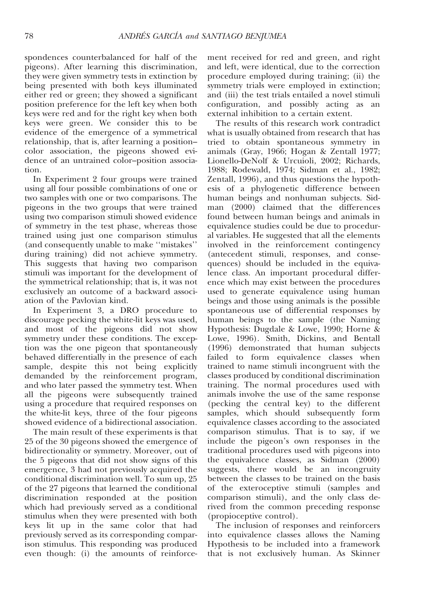spondences counterbalanced for half of the pigeons). After learning this discrimination, they were given symmetry tests in extinction by being presented with both keys illuminated either red or green; they showed a significant position preference for the left key when both keys were red and for the right key when both keys were green. We consider this to be evidence of the emergence of a symmetrical relationship, that is, after learning a position– color association, the pigeons showed evidence of an untrained color–position association.

In Experiment 2 four groups were trained using all four possible combinations of one or two samples with one or two comparisons. The pigeons in the two groups that were trained using two comparison stimuli showed evidence of symmetry in the test phase, whereas those trained using just one comparison stimulus (and consequently unable to make ''mistakes'' during training) did not achieve symmetry. This suggests that having two comparison stimuli was important for the development of the symmetrical relationship; that is, it was not exclusively an outcome of a backward association of the Pavlovian kind.

In Experiment 3, a DRO procedure to discourage pecking the white-lit keys was used, and most of the pigeons did not show symmetry under these conditions. The exception was the one pigeon that spontaneously behaved differentially in the presence of each sample, despite this not being explicitly demanded by the reinforcement program, and who later passed the symmetry test. When all the pigeons were subsequently trained using a procedure that required responses on the white-lit keys, three of the four pigeons showed evidence of a bidirectional association.

The main result of these experiments is that 25 of the 30 pigeons showed the emergence of bidirectionality or symmetry. Moreover, out of the 5 pigeons that did not show signs of this emergence, 3 had not previously acquired the conditional discrimination well. To sum up, 25 of the 27 pigeons that learned the conditional discrimination responded at the position which had previously served as a conditional stimulus when they were presented with both keys lit up in the same color that had previously served as its corresponding comparison stimulus. This responding was produced even though: (i) the amounts of reinforce-

ment received for red and green, and right and left, were identical, due to the correction procedure employed during training; (ii) the symmetry trials were employed in extinction; and (iii) the test trials entailed a novel stimuli configuration, and possibly acting as an external inhibition to a certain extent.

The results of this research work contradict what is usually obtained from research that has tried to obtain spontaneous symmetry in animals (Gray, 1966; Hogan & Zentall 1977; Lionello-DeNolf & Urcuioli, 2002; Richards, 1988; Rodewald, 1974; Sidman et al., 1982; Zentall, 1996), and thus questions the hypothesis of a phylogenetic difference between human beings and nonhuman subjects. Sidman (2000) claimed that the differences found between human beings and animals in equivalence studies could be due to procedural variables. He suggested that all the elements involved in the reinforcement contingency (antecedent stimuli, responses, and consequences) should be included in the equivalence class. An important procedural difference which may exist between the procedures used to generate equivalence using human beings and those using animals is the possible spontaneous use of differential responses by human beings to the sample (the Naming Hypothesis: Dugdale & Lowe, 1990; Horne & Lowe, 1996). Smith, Dickins, and Bentall (1996) demonstrated that human subjects failed to form equivalence classes when trained to name stimuli incongruent with the classes produced by conditional discrimination training. The normal procedures used with animals involve the use of the same response (pecking the central key) to the different samples, which should subsequently form equivalence classes according to the associated comparison stimulus. That is to say, if we include the pigeon's own responses in the traditional procedures used with pigeons into the equivalence classes, as Sidman (2000) suggests, there would be an incongruity between the classes to be trained on the basis of the exteroceptive stimuli (samples and comparison stimuli), and the only class derived from the common preceding response (propioceptive control).

The inclusion of responses and reinforcers into equivalence classes allows the Naming Hypothesis to be included into a framework that is not exclusively human. As Skinner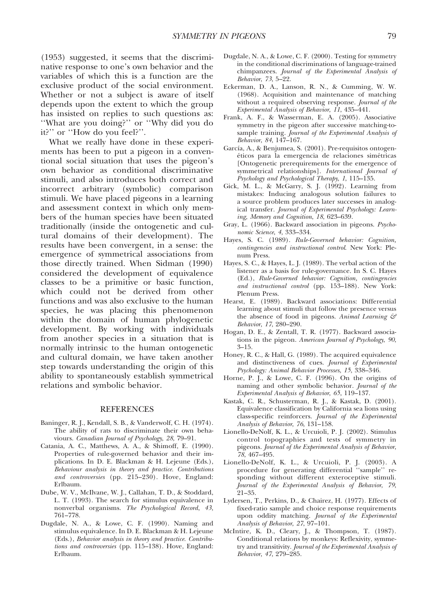(1953) suggested, it seems that the discriminative response to one's own behavior and the variables of which this is a function are the exclusive product of the social environment. Whether or not a subject is aware of itself depends upon the extent to which the group has insisted on replies to such questions as: ''What are you doing?'' or ''Why did you do it?'' or ''How do you feel?''.

What we really have done in these experiments has been to put a pigeon in a conventional social situation that uses the pigeon's own behavior as conditional discriminative stimuli, and also introduces both correct and incorrect arbitrary (symbolic) comparison stimuli. We have placed pigeons in a learning and assessment context in which only members of the human species have been situated traditionally (inside the ontogenetic and cultural domains of their development). The results have been convergent, in a sense: the emergence of symmetrical associations from those directly trained. When Sidman (1990) considered the development of equivalence classes to be a primitive or basic function, which could not be derived from other functions and was also exclusive to the human species, he was placing this phenomenon within the domain of human phylogenetic development. By working with individuals from another species in a situation that is normally intrinsic to the human ontogenetic and cultural domain, we have taken another step towards understanding the origin of this ability to spontaneously establish symmetrical relations and symbolic behavior.

#### REFERENCES

- Baninger, R. J., Kendall, S. B., & Vanderwolf, C. H. (1974). The ability of rats to discriminate their own behaviours. Canadian Journal of Psychology, 28, 79–91.
- Catania, A. C., Matthews, A. A., & Shimoff, E. (1990). Properties of rule-governed behavior and their implications. In D. E. Blackman & H. Lejeune (Eds.), Behaviour analysis in theory and practice. Contributions and controversies (pp. 215–230). Hove, England: Erlbaum.
- Dube, W. V., McIlvane, W. J., Callahan, T. D., & Stoddard, L. T. (1993). The search for stimulus equivalence in nonverbal organisms. The Psychological Record, 43, 761–778.
- Dugdale, N. A., & Lowe, C. F. (1990). Naming and stimulus equivalence. In D. E. Blackman & H. Lejeune (Eds.), Behavior analysis in theory and practice. Contributions and controversies (pp. 115-138). Hove, England: Erlbaum.
- Dugdale, N. A., & Lowe, C. F. (2000). Testing for symmetry in the conditional discriminations of language-trained chimpanzees. Journal of the Experimental Analysis of Behavior, 73, 5–22.
- Eckerman, D. A., Lanson, R. N., & Cumming, W. W. (1968). Acquisition and maintenance of matching without a required observing response. Journal of the Experimental Analysis of Behavior, 11, 435–441.
- Frank, A. F., & Wasserman, E. A. (2005). Associative symmetry in the pigeon after successive matching-tosample training. Journal of the Experimental Analysis of Behavior, 84, 147–167.
- García, A., & Benjumea, S. (2001). Pre-requisitos ontogenéticos para la emergencia de relaciones simétricas [Ontogenetic prerequirements for the emergence of symmetrical relationships]. International Journal of Psychology and Psychological Therapy, 1, 115–135.
- Gick, M. L., & McGarry, S. J. (1992). Learning from mistakes: Inducing analogous solution failures to a source problem produces later successes in analogical transfer. Journal of Experimental Psychology: Learning, Memory and Cognition, 18, 623–639.
- Gray, L. (1966). Backward association in pigeons. Psychonomic Science, 4, 333–334.
- Hayes, S. C. (1989). Rule-Governed behavior: Cognition, contingencies and instructional control. New York: Plenum Press.
- Hayes, S. C., & Hayes, L. J. (1989). The verbal action of the listener as a basis for rule-governance. In S. C. Hayes (Ed.), Rule-Governed behavior: Cognition, contingencies and instructional control (pp. 153–188). New York: Plenum Press.
- Hearst, E. (1989). Backward associations: Differential learning about stimuli that follow the presence versus the absence of food in pigeons. Animal Learning & Behavior, 17, 280–290.
- Hogan, D. E., & Zentall, T. R. (1977). Backward associations in the pigeon. American Journal of Psychology, 90, 3–15.
- Honey, R. C., & Hall, G. (1989). The acquired equivalence and distinctiveness of cues. Journal of Experimental Psychology: Animal Behavior Processes, 15, 338–346.
- Horne, P. J., & Lowe, C. F. (1996). On the origins of naming and other symbolic behavior. Journal of the Experimental Analysis of Behavior, 65, 119–137.
- Kastak, C. R., Schusterman, R. J., & Kastak, D. (2001). Equivalence classification by California sea lions using class-specific reinforcers. Journal of the Experimental Analysis of Behavior, 76, 131–158.
- Lionello-DeNolf, K. L., & Urcuioli, P. J. (2002). Stimulus control topographies and tests of symmetry in pigeons. Journal of the Experimental Analysis of Behavior, 78, 467–495.
- Lionello-DeNolf, K. L., & Urcuioli, P. J. (2003). A procedure for generating differential ''sample'' responding without different exteroceptive stimuli. Journal of the Experimental Analysis of Behavior, 79, 21–35.
- Lydersen, T., Perkins, D., & Chairez, H. (1977). Effects of fixed-ratio sample and choice response requirements upon oddity matching. Journal of the Experimental Analysis of Behavior, 27, 97–101.
- McIntire, K. D., Cleary, J., & Thompson, T. (1987). Conditional relations by monkeys: Reflexivity, symmetry and transitivity. Journal of the Experimental Analysis of Behavior, 47, 279–285.